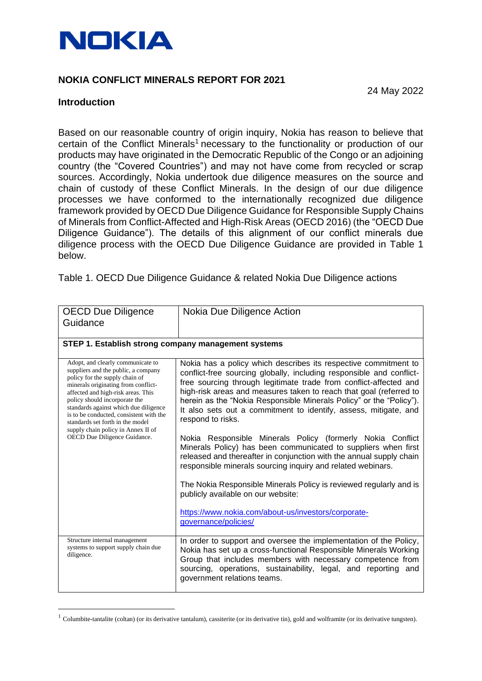

# **NOKIA CONFLICT MINERALS REPORT FOR 2021**

### **Introduction**

24 May 2022

Based on our reasonable country of origin inquiry, Nokia has reason to believe that certain of the Conflict Minerals<sup>1</sup> necessary to the functionality or production of our products may have originated in the Democratic Republic of the Congo or an adjoining country (the "Covered Countries") and may not have come from recycled or scrap sources. Accordingly, Nokia undertook due diligence measures on the source and chain of custody of these Conflict Minerals. In the design of our due diligence processes we have conformed to the internationally recognized due diligence framework provided by OECD Due Diligence Guidance for Responsible Supply Chains of Minerals from Conflict-Affected and High-Risk Areas (OECD 2016) (the "OECD Due Diligence Guidance"). The details of this alignment of our conflict minerals due diligence process with the OECD Due Diligence Guidance are provided in Table 1 below.

Table 1. OECD Due Diligence Guidance & related Nokia Due Diligence actions

| <b>OECD Due Diligence</b>                                                                                                                                                                                                                                                                                                                                                                                              | Nokia Due Diligence Action                                                                                                                                                                                                                                                                                                                                                                                                                                                                                                                                                                                                                                                                                                                                                                                                                                                                                          |
|------------------------------------------------------------------------------------------------------------------------------------------------------------------------------------------------------------------------------------------------------------------------------------------------------------------------------------------------------------------------------------------------------------------------|---------------------------------------------------------------------------------------------------------------------------------------------------------------------------------------------------------------------------------------------------------------------------------------------------------------------------------------------------------------------------------------------------------------------------------------------------------------------------------------------------------------------------------------------------------------------------------------------------------------------------------------------------------------------------------------------------------------------------------------------------------------------------------------------------------------------------------------------------------------------------------------------------------------------|
| Guidance                                                                                                                                                                                                                                                                                                                                                                                                               |                                                                                                                                                                                                                                                                                                                                                                                                                                                                                                                                                                                                                                                                                                                                                                                                                                                                                                                     |
|                                                                                                                                                                                                                                                                                                                                                                                                                        |                                                                                                                                                                                                                                                                                                                                                                                                                                                                                                                                                                                                                                                                                                                                                                                                                                                                                                                     |
| STEP 1. Establish strong company management systems                                                                                                                                                                                                                                                                                                                                                                    |                                                                                                                                                                                                                                                                                                                                                                                                                                                                                                                                                                                                                                                                                                                                                                                                                                                                                                                     |
| Adopt, and clearly communicate to<br>suppliers and the public, a company<br>policy for the supply chain of<br>minerals originating from conflict-<br>affected and high-risk areas. This<br>policy should incorporate the<br>standards against which due diligence<br>is to be conducted, consistent with the<br>standards set forth in the model<br>supply chain policy in Annex II of<br>OECD Due Diligence Guidance. | Nokia has a policy which describes its respective commitment to<br>conflict-free sourcing globally, including responsible and conflict-<br>free sourcing through legitimate trade from conflict-affected and<br>high-risk areas and measures taken to reach that goal (referred to<br>herein as the "Nokia Responsible Minerals Policy" or the "Policy").<br>It also sets out a commitment to identify, assess, mitigate, and<br>respond to risks.<br>Nokia Responsible Minerals Policy (formerly Nokia Conflict<br>Minerals Policy) has been communicated to suppliers when first<br>released and thereafter in conjunction with the annual supply chain<br>responsible minerals sourcing inquiry and related webinars.<br>The Nokia Responsible Minerals Policy is reviewed regularly and is<br>publicly available on our website:<br>https://www.nokia.com/about-us/investors/corporate-<br>governance/policies/ |
| Structure internal management<br>systems to support supply chain due<br>diligence.                                                                                                                                                                                                                                                                                                                                     | In order to support and oversee the implementation of the Policy,<br>Nokia has set up a cross-functional Responsible Minerals Working<br>Group that includes members with necessary competence from<br>sourcing, operations, sustainability, legal, and reporting and<br>government relations teams.                                                                                                                                                                                                                                                                                                                                                                                                                                                                                                                                                                                                                |

<sup>&</sup>lt;sup>1</sup> Columbite-tantalite (coltan) (or its derivative tantalum), cassiterite (or its derivative tin), gold and wolframite (or its derivative tungsten).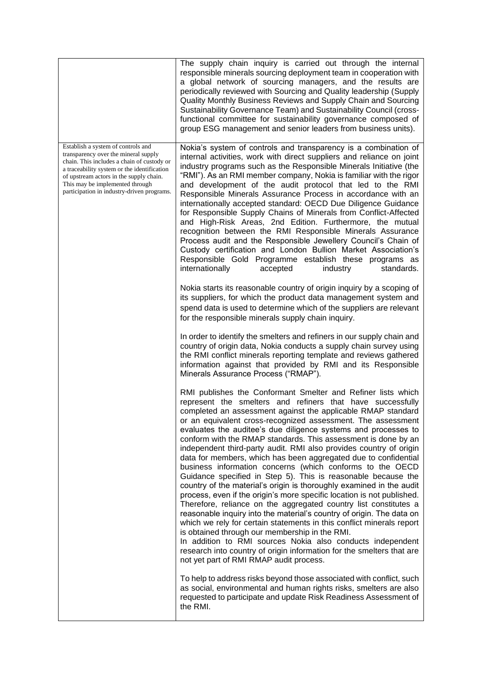|                                                                                                                                                                                                                                                                                                     | The supply chain inquiry is carried out through the internal<br>responsible minerals sourcing deployment team in cooperation with<br>a global network of sourcing managers, and the results are<br>periodically reviewed with Sourcing and Quality leadership (Supply<br>Quality Monthly Business Reviews and Supply Chain and Sourcing<br>Sustainability Governance Team) and Sustainability Council (cross-<br>functional committee for sustainability governance composed of<br>group ESG management and senior leaders from business units).                                                                                                                                                                                                                                                                                                                                                                                                                                                                                                                                                                                                                                                                                                                                  |
|-----------------------------------------------------------------------------------------------------------------------------------------------------------------------------------------------------------------------------------------------------------------------------------------------------|-----------------------------------------------------------------------------------------------------------------------------------------------------------------------------------------------------------------------------------------------------------------------------------------------------------------------------------------------------------------------------------------------------------------------------------------------------------------------------------------------------------------------------------------------------------------------------------------------------------------------------------------------------------------------------------------------------------------------------------------------------------------------------------------------------------------------------------------------------------------------------------------------------------------------------------------------------------------------------------------------------------------------------------------------------------------------------------------------------------------------------------------------------------------------------------------------------------------------------------------------------------------------------------|
| Establish a system of controls and<br>transparency over the mineral supply<br>chain. This includes a chain of custody or<br>a traceability system or the identification<br>of upstream actors in the supply chain.<br>This may be implemented through<br>participation in industry-driven programs. | Nokia's system of controls and transparency is a combination of<br>internal activities, work with direct suppliers and reliance on joint<br>industry programs such as the Responsible Minerals Initiative (the<br>"RMI"). As an RMI member company, Nokia is familiar with the rigor<br>and development of the audit protocol that led to the RMI<br>Responsible Minerals Assurance Process in accordance with an<br>internationally accepted standard: OECD Due Diligence Guidance<br>for Responsible Supply Chains of Minerals from Conflict-Affected<br>and High-Risk Areas, 2nd Edition. Furthermore, the mutual<br>recognition between the RMI Responsible Minerals Assurance<br>Process audit and the Responsible Jewellery Council's Chain of<br>Custody certification and London Bullion Market Association's<br>Responsible Gold Programme establish these programs as<br>internationally<br>accepted<br>standards.<br>industry                                                                                                                                                                                                                                                                                                                                          |
|                                                                                                                                                                                                                                                                                                     | Nokia starts its reasonable country of origin inquiry by a scoping of<br>its suppliers, for which the product data management system and<br>spend data is used to determine which of the suppliers are relevant<br>for the responsible minerals supply chain inquiry.                                                                                                                                                                                                                                                                                                                                                                                                                                                                                                                                                                                                                                                                                                                                                                                                                                                                                                                                                                                                             |
|                                                                                                                                                                                                                                                                                                     | In order to identify the smelters and refiners in our supply chain and<br>country of origin data, Nokia conducts a supply chain survey using<br>the RMI conflict minerals reporting template and reviews gathered<br>information against that provided by RMI and its Responsible<br>Minerals Assurance Process ("RMAP").                                                                                                                                                                                                                                                                                                                                                                                                                                                                                                                                                                                                                                                                                                                                                                                                                                                                                                                                                         |
|                                                                                                                                                                                                                                                                                                     | RMI publishes the Conformant Smelter and Refiner lists which<br>represent the smelters and refiners that have successfully<br>completed an assessment against the applicable RMAP standard<br>or an equivalent cross-recognized assessment. The assessment<br>evaluates the auditee's due diligence systems and processes to<br>conform with the RMAP standards. This assessment is done by an<br>independent third-party audit. RMI also provides country of origin<br>data for members, which has been aggregated due to confidential<br>business information concerns (which conforms to the OECD<br>Guidance specified in Step 5). This is reasonable because the<br>country of the material's origin is thoroughly examined in the audit<br>process, even if the origin's more specific location is not published.<br>Therefore, reliance on the aggregated country list constitutes a<br>reasonable inquiry into the material's country of origin. The data on<br>which we rely for certain statements in this conflict minerals report<br>is obtained through our membership in the RMI.<br>In addition to RMI sources Nokia also conducts independent<br>research into country of origin information for the smelters that are<br>not yet part of RMI RMAP audit process. |
|                                                                                                                                                                                                                                                                                                     | To help to address risks beyond those associated with conflict, such<br>as social, environmental and human rights risks, smelters are also<br>requested to participate and update Risk Readiness Assessment of<br>the RMI.                                                                                                                                                                                                                                                                                                                                                                                                                                                                                                                                                                                                                                                                                                                                                                                                                                                                                                                                                                                                                                                        |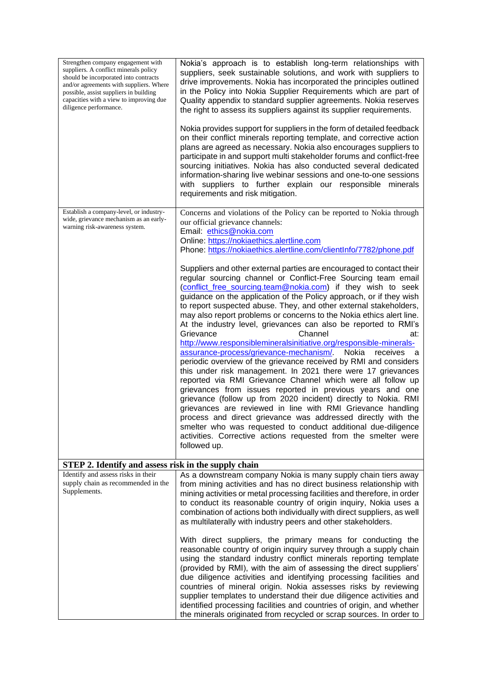| Strengthen company engagement with<br>suppliers. A conflict minerals policy<br>should be incorporated into contracts<br>and/or agreements with suppliers. Where<br>possible, assist suppliers in building<br>capacities with a view to improving due<br>diligence performance. | Nokia's approach is to establish long-term relationships with<br>suppliers, seek sustainable solutions, and work with suppliers to<br>drive improvements. Nokia has incorporated the principles outlined<br>in the Policy into Nokia Supplier Requirements which are part of<br>Quality appendix to standard supplier agreements. Nokia reserves<br>the right to assess its suppliers against its supplier requirements.<br>Nokia provides support for suppliers in the form of detailed feedback<br>on their conflict minerals reporting template, and corrective action<br>plans are agreed as necessary. Nokia also encourages suppliers to<br>participate in and support multi stakeholder forums and conflict-free<br>sourcing initiatives. Nokia has also conducted several dedicated<br>information-sharing live webinar sessions and one-to-one sessions<br>with suppliers to further explain our responsible minerals<br>requirements and risk mitigation.                                                                                                                                                                                                                                                                                                                                                                                             |
|--------------------------------------------------------------------------------------------------------------------------------------------------------------------------------------------------------------------------------------------------------------------------------|-----------------------------------------------------------------------------------------------------------------------------------------------------------------------------------------------------------------------------------------------------------------------------------------------------------------------------------------------------------------------------------------------------------------------------------------------------------------------------------------------------------------------------------------------------------------------------------------------------------------------------------------------------------------------------------------------------------------------------------------------------------------------------------------------------------------------------------------------------------------------------------------------------------------------------------------------------------------------------------------------------------------------------------------------------------------------------------------------------------------------------------------------------------------------------------------------------------------------------------------------------------------------------------------------------------------------------------------------------------------|
| Establish a company-level, or industry-<br>wide, grievance mechanism as an early-<br>warning risk-awareness system.                                                                                                                                                            | Concerns and violations of the Policy can be reported to Nokia through<br>our official grievance channels:<br>Email: ethics@nokia.com<br>Online: https://nokiaethics.alertline.com                                                                                                                                                                                                                                                                                                                                                                                                                                                                                                                                                                                                                                                                                                                                                                                                                                                                                                                                                                                                                                                                                                                                                                              |
|                                                                                                                                                                                                                                                                                | Phone: https://nokiaethics.alertline.com/clientlnfo/7782/phone.pdf<br>Suppliers and other external parties are encouraged to contact their<br>regular sourcing channel or Conflict-Free Sourcing team email<br>(conflict free sourcing.team@nokia.com) if they wish to seek<br>guidance on the application of the Policy approach, or if they wish<br>to report suspected abuse. They, and other external stakeholders,<br>may also report problems or concerns to the Nokia ethics alert line.<br>At the industry level, grievances can also be reported to RMI's<br>Channel<br>Grievance<br>at:<br>http://www.responsiblemineralsinitiative.org/responsible-minerals-<br>assurance-process/grievance-mechanism/ Nokia<br>receives<br>- a<br>periodic overview of the grievance received by RMI and considers<br>this under risk management. In 2021 there were 17 grievances<br>reported via RMI Grievance Channel which were all follow up<br>grievances from issues reported in previous years and one<br>grievance (follow up from 2020 incident) directly to Nokia. RMI<br>grievances are reviewed in line with RMI Grievance handling<br>process and direct grievance was addressed directly with the<br>smelter who was requested to conduct additional due-diligence<br>activities. Corrective actions requested from the smelter were<br>followed up. |
| STEP 2. Identify and assess risk in the supply chain                                                                                                                                                                                                                           |                                                                                                                                                                                                                                                                                                                                                                                                                                                                                                                                                                                                                                                                                                                                                                                                                                                                                                                                                                                                                                                                                                                                                                                                                                                                                                                                                                 |
| Identify and assess risks in their<br>supply chain as recommended in the<br>Supplements.                                                                                                                                                                                       | As a downstream company Nokia is many supply chain tiers away<br>from mining activities and has no direct business relationship with<br>mining activities or metal processing facilities and therefore, in order<br>to conduct its reasonable country of origin inquiry, Nokia uses a<br>combination of actions both individually with direct suppliers, as well<br>as multilaterally with industry peers and other stakeholders.<br>With direct suppliers, the primary means for conducting the                                                                                                                                                                                                                                                                                                                                                                                                                                                                                                                                                                                                                                                                                                                                                                                                                                                                |
|                                                                                                                                                                                                                                                                                | reasonable country of origin inquiry survey through a supply chain<br>using the standard industry conflict minerals reporting template<br>(provided by RMI), with the aim of assessing the direct suppliers'<br>due diligence activities and identifying processing facilities and<br>countries of mineral origin. Nokia assesses risks by reviewing<br>supplier templates to understand their due diligence activities and<br>identified processing facilities and countries of origin, and whether<br>the minerals originated from recycled or scrap sources. In order to                                                                                                                                                                                                                                                                                                                                                                                                                                                                                                                                                                                                                                                                                                                                                                                     |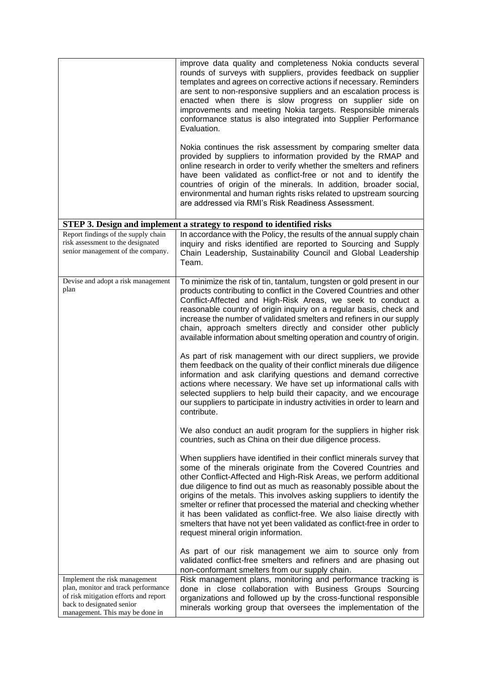|                                                                                                                                                                               | improve data quality and completeness Nokia conducts several<br>rounds of surveys with suppliers, provides feedback on supplier<br>templates and agrees on corrective actions if necessary. Reminders<br>are sent to non-responsive suppliers and an escalation process is<br>enacted when there is slow progress on supplier side on<br>improvements and meeting Nokia targets. Responsible minerals<br>conformance status is also integrated into Supplier Performance<br>Evaluation.<br>Nokia continues the risk assessment by comparing smelter data                                                                                                                                                                                                                                                                                                                                                                                                  |
|-------------------------------------------------------------------------------------------------------------------------------------------------------------------------------|-----------------------------------------------------------------------------------------------------------------------------------------------------------------------------------------------------------------------------------------------------------------------------------------------------------------------------------------------------------------------------------------------------------------------------------------------------------------------------------------------------------------------------------------------------------------------------------------------------------------------------------------------------------------------------------------------------------------------------------------------------------------------------------------------------------------------------------------------------------------------------------------------------------------------------------------------------------|
|                                                                                                                                                                               | provided by suppliers to information provided by the RMAP and<br>online research in order to verify whether the smelters and refiners<br>have been validated as conflict-free or not and to identify the<br>countries of origin of the minerals. In addition, broader social,<br>environmental and human rights risks related to upstream sourcing<br>are addressed via RMI's Risk Readiness Assessment.                                                                                                                                                                                                                                                                                                                                                                                                                                                                                                                                                  |
|                                                                                                                                                                               | STEP 3. Design and implement a strategy to respond to identified risks                                                                                                                                                                                                                                                                                                                                                                                                                                                                                                                                                                                                                                                                                                                                                                                                                                                                                    |
| Report findings of the supply chain<br>risk assessment to the designated<br>senior management of the company.                                                                 | In accordance with the Policy, the results of the annual supply chain<br>inquiry and risks identified are reported to Sourcing and Supply<br>Chain Leadership, Sustainability Council and Global Leadership<br>Team.                                                                                                                                                                                                                                                                                                                                                                                                                                                                                                                                                                                                                                                                                                                                      |
| Devise and adopt a risk management<br>plan                                                                                                                                    | To minimize the risk of tin, tantalum, tungsten or gold present in our<br>products contributing to conflict in the Covered Countries and other<br>Conflict-Affected and High-Risk Areas, we seek to conduct a<br>reasonable country of origin inquiry on a regular basis, check and<br>increase the number of validated smelters and refiners in our supply<br>chain, approach smelters directly and consider other publicly<br>available information about smelting operation and country of origin.<br>As part of risk management with our direct suppliers, we provide<br>them feedback on the quality of their conflict minerals due diligence<br>information and ask clarifying questions and demand corrective<br>actions where necessary. We have set up informational calls with<br>selected suppliers to help build their capacity, and we encourage<br>our suppliers to participate in industry activities in order to learn and<br>contribute. |
|                                                                                                                                                                               | We also conduct an audit program for the suppliers in higher risk<br>countries, such as China on their due diligence process.                                                                                                                                                                                                                                                                                                                                                                                                                                                                                                                                                                                                                                                                                                                                                                                                                             |
|                                                                                                                                                                               | When suppliers have identified in their conflict minerals survey that<br>some of the minerals originate from the Covered Countries and<br>other Conflict-Affected and High-Risk Areas, we perform additional<br>due diligence to find out as much as reasonably possible about the<br>origins of the metals. This involves asking suppliers to identify the<br>smelter or refiner that processed the material and checking whether<br>it has been validated as conflict-free. We also liaise directly with<br>smelters that have not yet been validated as conflict-free in order to<br>request mineral origin information.                                                                                                                                                                                                                                                                                                                               |
|                                                                                                                                                                               | As part of our risk management we aim to source only from<br>validated conflict-free smelters and refiners and are phasing out<br>non-conformant smelters from our supply chain.                                                                                                                                                                                                                                                                                                                                                                                                                                                                                                                                                                                                                                                                                                                                                                          |
| Implement the risk management<br>plan, monitor and track performance<br>of risk mitigation efforts and report<br>back to designated senior<br>management. This may be done in | Risk management plans, monitoring and performance tracking is<br>done in close collaboration with Business Groups Sourcing<br>organizations and followed up by the cross-functional responsible<br>minerals working group that oversees the implementation of the                                                                                                                                                                                                                                                                                                                                                                                                                                                                                                                                                                                                                                                                                         |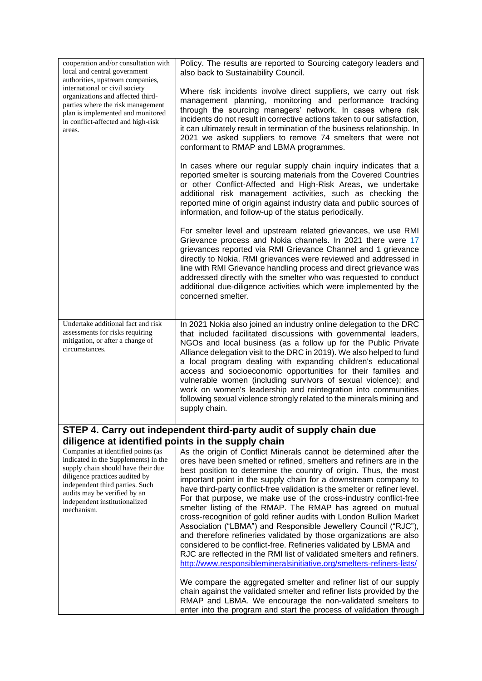| cooperation and/or consultation with<br>local and central government<br>authorities, upstream companies,                                                                                                                                                             | Policy. The results are reported to Sourcing category leaders and<br>also back to Sustainability Council.                                                                                                                                                                                                                                                                                                                                                                                                                                                                                                                                                                                                                                                                                                                                                                                                                                                                                                  |
|----------------------------------------------------------------------------------------------------------------------------------------------------------------------------------------------------------------------------------------------------------------------|------------------------------------------------------------------------------------------------------------------------------------------------------------------------------------------------------------------------------------------------------------------------------------------------------------------------------------------------------------------------------------------------------------------------------------------------------------------------------------------------------------------------------------------------------------------------------------------------------------------------------------------------------------------------------------------------------------------------------------------------------------------------------------------------------------------------------------------------------------------------------------------------------------------------------------------------------------------------------------------------------------|
| international or civil society<br>organizations and affected third-<br>parties where the risk management<br>plan is implemented and monitored<br>in conflict-affected and high-risk<br>areas.                                                                        | Where risk incidents involve direct suppliers, we carry out risk<br>management planning, monitoring and performance tracking<br>through the sourcing managers' network. In cases where risk<br>incidents do not result in corrective actions taken to our satisfaction,<br>it can ultimately result in termination of the business relationship. In<br>2021 we asked suppliers to remove 74 smelters that were not<br>conformant to RMAP and LBMA programmes.                                                                                                                                                                                                                                                                                                                                                                                                                                                                                                                                              |
|                                                                                                                                                                                                                                                                      | In cases where our regular supply chain inquiry indicates that a<br>reported smelter is sourcing materials from the Covered Countries<br>or other Conflict-Affected and High-Risk Areas, we undertake<br>additional risk management activities, such as checking the<br>reported mine of origin against industry data and public sources of<br>information, and follow-up of the status periodically.                                                                                                                                                                                                                                                                                                                                                                                                                                                                                                                                                                                                      |
|                                                                                                                                                                                                                                                                      | For smelter level and upstream related grievances, we use RMI<br>Grievance process and Nokia channels. In 2021 there were 17<br>grievances reported via RMI Grievance Channel and 1 grievance<br>directly to Nokia. RMI grievances were reviewed and addressed in<br>line with RMI Grievance handling process and direct grievance was<br>addressed directly with the smelter who was requested to conduct<br>additional due-diligence activities which were implemented by the<br>concerned smelter.                                                                                                                                                                                                                                                                                                                                                                                                                                                                                                      |
| Undertake additional fact and risk<br>assessments for risks requiring<br>mitigation, or after a change of<br>circumstances.                                                                                                                                          | In 2021 Nokia also joined an industry online delegation to the DRC<br>that included facilitated discussions with governmental leaders,<br>NGOs and local business (as a follow up for the Public Private<br>Alliance delegation visit to the DRC in 2019). We also helped to fund<br>a local program dealing with expanding children's educational<br>access and socioeconomic opportunities for their families and<br>vulnerable women (including survivors of sexual violence); and<br>work on women's leadership and reintegration into communities<br>following sexual violence strongly related to the minerals mining and<br>supply chain.                                                                                                                                                                                                                                                                                                                                                           |
|                                                                                                                                                                                                                                                                      | STEP 4. Carry out independent third-party audit of supply chain due                                                                                                                                                                                                                                                                                                                                                                                                                                                                                                                                                                                                                                                                                                                                                                                                                                                                                                                                        |
| diligence at identified points in the supply chain                                                                                                                                                                                                                   |                                                                                                                                                                                                                                                                                                                                                                                                                                                                                                                                                                                                                                                                                                                                                                                                                                                                                                                                                                                                            |
| Companies at identified points (as<br>indicated in the Supplements) in the<br>supply chain should have their due<br>diligence practices audited by<br>independent third parties. Such<br>audits may be verified by an<br>independent institutionalized<br>mechanism. | As the origin of Conflict Minerals cannot be determined after the<br>ores have been smelted or refined, smelters and refiners are in the<br>best position to determine the country of origin. Thus, the most<br>important point in the supply chain for a downstream company to<br>have third-party conflict-free validation is the smelter or refiner level.<br>For that purpose, we make use of the cross-industry conflict-free<br>smelter listing of the RMAP. The RMAP has agreed on mutual<br>cross-recognition of gold refiner audits with London Bullion Market<br>Association ("LBMA") and Responsible Jewellery Council ("RJC"),<br>and therefore refineries validated by those organizations are also<br>considered to be conflict-free. Refineries validated by LBMA and<br>RJC are reflected in the RMI list of validated smelters and refiners.<br>http://www.responsiblemineralsinitiative.org/smelters-refiners-lists/<br>We compare the aggregated smelter and refiner list of our supply |
|                                                                                                                                                                                                                                                                      | chain against the validated smelter and refiner lists provided by the<br>RMAP and LBMA. We encourage the non-validated smelters to<br>enter into the program and start the process of validation through                                                                                                                                                                                                                                                                                                                                                                                                                                                                                                                                                                                                                                                                                                                                                                                                   |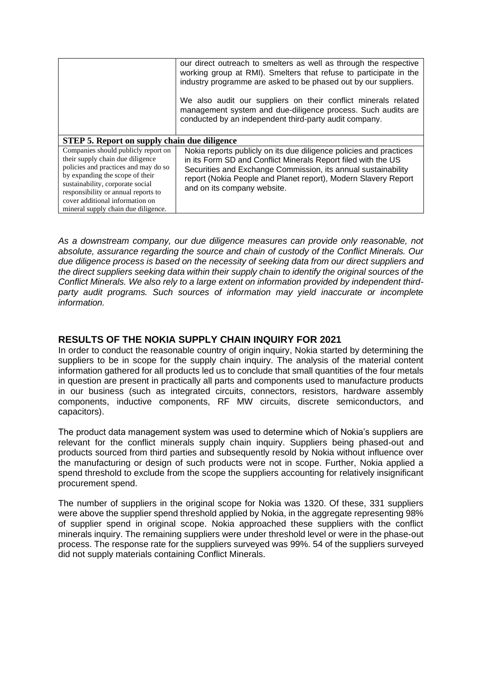|                                                                                                                                                                                                                                                                                                         | our direct outreach to smelters as well as through the respective<br>working group at RMI). Smelters that refuse to participate in the<br>industry programme are asked to be phased out by our suppliers.<br>We also audit our suppliers on their conflict minerals related<br>management system and due-diligence process. Such audits are<br>conducted by an independent third-party audit company. |
|---------------------------------------------------------------------------------------------------------------------------------------------------------------------------------------------------------------------------------------------------------------------------------------------------------|-------------------------------------------------------------------------------------------------------------------------------------------------------------------------------------------------------------------------------------------------------------------------------------------------------------------------------------------------------------------------------------------------------|
| <b>STEP 5. Report on supply chain due diligence</b>                                                                                                                                                                                                                                                     |                                                                                                                                                                                                                                                                                                                                                                                                       |
| Companies should publicly report on<br>their supply chain due diligence<br>policies and practices and may do so<br>by expanding the scope of their<br>sustainability, corporate social<br>responsibility or annual reports to<br>cover additional information on<br>mineral supply chain due diligence. | Nokia reports publicly on its due diligence policies and practices<br>in its Form SD and Conflict Minerals Report filed with the US<br>Securities and Exchange Commission, its annual sustainability<br>report (Nokia People and Planet report), Modern Slavery Report<br>and on its company website.                                                                                                 |

*As a downstream company, our due diligence measures can provide only reasonable, not absolute, assurance regarding the source and chain of custody of the Conflict Minerals. Our due diligence process is based on the necessity of seeking data from our direct suppliers and the direct suppliers seeking data within their supply chain to identify the original sources of the Conflict Minerals. We also rely to a large extent on information provided by independent third*party audit programs. Such sources of information may yield inaccurate or incomplete *information.*

### **RESULTS OF THE NOKIA SUPPLY CHAIN INQUIRY FOR 2021**

In order to conduct the reasonable country of origin inquiry, Nokia started by determining the suppliers to be in scope for the supply chain inquiry. The analysis of the material content information gathered for all products led us to conclude that small quantities of the four metals in question are present in practically all parts and components used to manufacture products in our business (such as integrated circuits, connectors, resistors, hardware assembly components, inductive components, RF MW circuits, discrete semiconductors, and capacitors).

The product data management system was used to determine which of Nokia's suppliers are relevant for the conflict minerals supply chain inquiry. Suppliers being phased-out and products sourced from third parties and subsequently resold by Nokia without influence over the manufacturing or design of such products were not in scope. Further, Nokia applied a spend threshold to exclude from the scope the suppliers accounting for relatively insignificant procurement spend.

The number of suppliers in the original scope for Nokia was 1320. Of these, 331 suppliers were above the supplier spend threshold applied by Nokia, in the aggregate representing 98% of supplier spend in original scope. Nokia approached these suppliers with the conflict minerals inquiry. The remaining suppliers were under threshold level or were in the phase-out process. The response rate for the suppliers surveyed was 99%. 54 of the suppliers surveyed did not supply materials containing Conflict Minerals.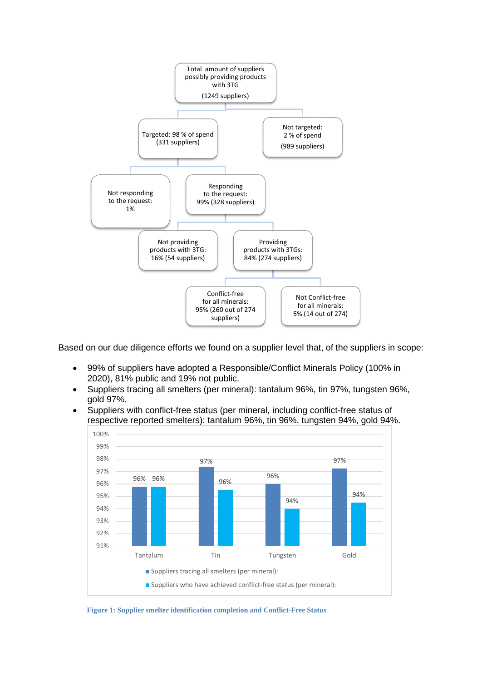

Based on our due diligence efforts we found on a supplier level that, of the suppliers in scope:

- 99% of suppliers have adopted a Responsible/Conflict Minerals Policy (100% in 2020), 81% public and 19% not public.
- Suppliers tracing all smelters (per mineral): tantalum 96%, tin 97%, tungsten 96%, gold 97%.
- Suppliers with conflict-free status (per mineral, including conflict-free status of respective reported smelters): tantalum 96%, tin 96%, tungsten 94%, gold 94%.



**Figure 1: Supplier smelter identification completion and Conflict-Free Status**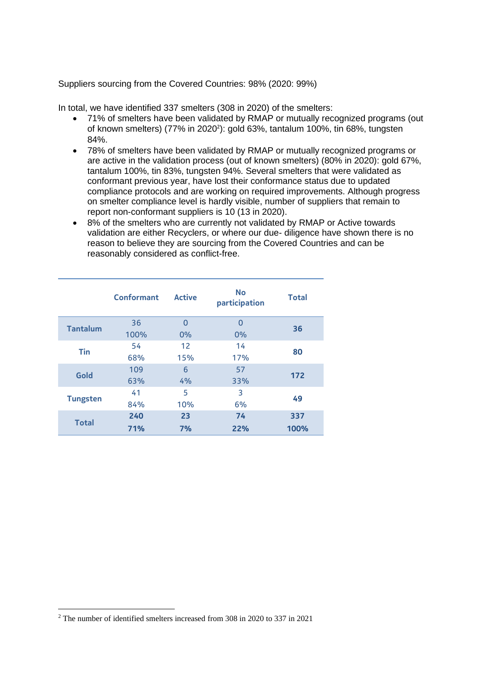Suppliers sourcing from the Covered Countries: 98% (2020: 99%)

In total, we have identified 337 smelters (308 in 2020) of the smelters:

- 71% of smelters have been validated by RMAP or mutually recognized programs (out of known smelters) (77% in 2020<sup>2</sup>): gold 63%, tantalum 100%, tin 68%, tungsten 84%.
- 78% of smelters have been validated by RMAP or mutually recognized programs or are active in the validation process (out of known smelters) (80% in 2020): gold 67%, tantalum 100%, tin 83%, tungsten 94%. Several smelters that were validated as conformant previous year, have lost their conformance status due to updated compliance protocols and are working on required improvements. Although progress on smelter compliance level is hardly visible, number of suppliers that remain to report non-conformant suppliers is 10 (13 in 2020).
- 8% of the smelters who are currently not validated by RMAP or Active towards validation are either Recyclers, or where our due- diligence have shown there is no reason to believe they are sourcing from the Covered Countries and can be reasonably considered as conflict-free.

|                 | <b>Conformant</b> | <b>Active</b> | <b>No</b><br>participation | <b>Total</b> |
|-----------------|-------------------|---------------|----------------------------|--------------|
| <b>Tantalum</b> | 36                | $\Omega$      | $\Omega$                   | 36           |
|                 | 100%              | 0%            | 0%                         |              |
| <b>Tin</b>      | 54                | 12            | 14                         |              |
|                 | 68%               | 15%           | 17%                        | 80           |
| Gold            | 109               | 6             | 57                         | 172          |
|                 | 63%               | 4%            | 33%                        |              |
|                 | 41                | 5             | 3                          |              |
| <b>Tungsten</b> | 84%               | 10%           | 6%                         | 49           |
| 240             |                   | 23            | 74                         | 337          |
| <b>Total</b>    | 71%               | 7%            | 22%                        | 100%         |

<sup>2</sup> The number of identified smelters increased from 308 in 2020 to 337 in 2021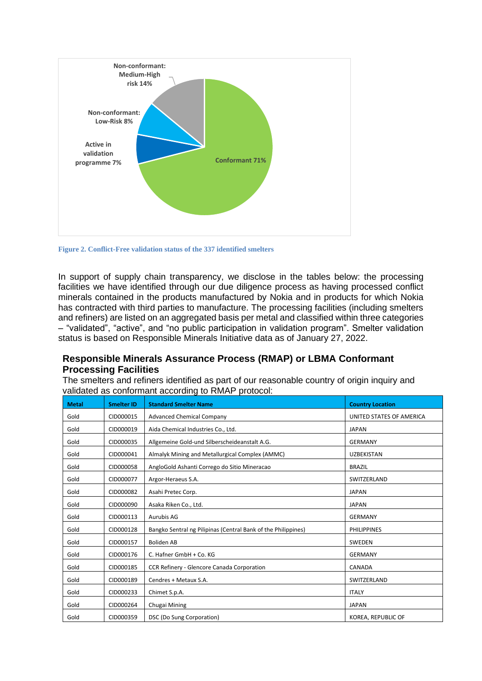

**Figure 2. Conflict-Free validation status of the 337 identified smelters**

In support of supply chain transparency, we disclose in the tables below: the processing facilities we have identified through our due diligence process as having processed conflict minerals contained in the products manufactured by Nokia and in products for which Nokia has contracted with third parties to manufacture. The processing facilities (including smelters and refiners) are listed on an aggregated basis per metal and classified within three categories – "validated", "active", and "no public participation in validation program". Smelter validation status is based on Responsible Minerals Initiative data as of January 27, 2022.

## **Responsible Minerals Assurance Process (RMAP) or LBMA Conformant Processing Facilities**

The smelters and refiners identified as part of our reasonable country of origin inquiry and validated as conformant according to RMAP protocol:

| <b>Metal</b> | <b>Smelter ID</b> | <b>Standard Smelter Name</b>                                  | <b>Country Location</b>  |
|--------------|-------------------|---------------------------------------------------------------|--------------------------|
| Gold         | CID000015         | <b>Advanced Chemical Company</b>                              | UNITED STATES OF AMERICA |
| Gold         | CID000019         | Aida Chemical Industries Co., Ltd.                            | <b>JAPAN</b>             |
| Gold         | CID000035         | Allgemeine Gold-und Silberscheideanstalt A.G.                 | <b>GERMANY</b>           |
| Gold         | CID000041         | Almalyk Mining and Metallurgical Complex (AMMC)               | <b>UZBEKISTAN</b>        |
| Gold         | CID000058         | AngloGold Ashanti Corrego do Sitio Mineracao                  | <b>BRAZIL</b>            |
| Gold         | CID000077         | Argor-Heraeus S.A.                                            | SWITZERLAND              |
| Gold         | CID000082         | Asahi Pretec Corp.                                            | <b>JAPAN</b>             |
| Gold         | CID000090         | Asaka Riken Co., Ltd.                                         | <b>JAPAN</b>             |
| Gold         | CID000113         | Aurubis AG                                                    | <b>GERMANY</b>           |
| Gold         | CID000128         | Bangko Sentral ng Pilipinas (Central Bank of the Philippines) | <b>PHILIPPINES</b>       |
| Gold         | CID000157         | <b>Boliden AB</b>                                             | SWEDEN                   |
| Gold         | CID000176         | C. Hafner GmbH + Co. KG                                       | <b>GERMANY</b>           |
| Gold         | CID000185         | CCR Refinery - Glencore Canada Corporation                    | CANADA                   |
| Gold         | CID000189         | Cendres + Metaux S.A.                                         | SWITZERLAND              |
| Gold         | CID000233         | Chimet S.p.A.                                                 | <b>ITALY</b>             |
| Gold         | CID000264         | Chugai Mining                                                 | <b>JAPAN</b>             |
| Gold         | CID000359         | DSC (Do Sung Corporation)                                     | KOREA, REPUBLIC OF       |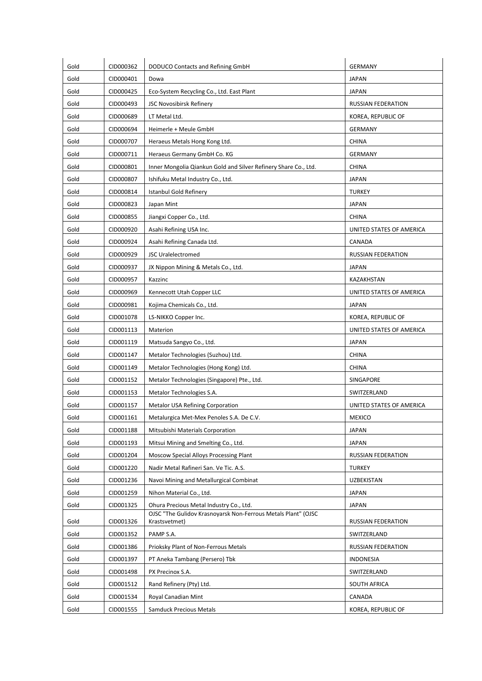| Gold | CID000362 | DODUCO Contacts and Refining GmbH                                              | <b>GERMANY</b>            |
|------|-----------|--------------------------------------------------------------------------------|---------------------------|
| Gold | CID000401 | Dowa                                                                           | <b>JAPAN</b>              |
| Gold | CID000425 | Eco-System Recycling Co., Ltd. East Plant                                      | JAPAN                     |
| Gold | CID000493 | JSC Novosibirsk Refinery                                                       | <b>RUSSIAN FEDERATION</b> |
| Gold | CID000689 | LT Metal Ltd.                                                                  | KOREA, REPUBLIC OF        |
| Gold | CID000694 | Heimerle + Meule GmbH                                                          | <b>GERMANY</b>            |
| Gold | CID000707 | Heraeus Metals Hong Kong Ltd.                                                  | <b>CHINA</b>              |
| Gold | CID000711 | Heraeus Germany GmbH Co. KG                                                    | <b>GERMANY</b>            |
| Gold | CID000801 | Inner Mongolia Qiankun Gold and Silver Refinery Share Co., Ltd.                | <b>CHINA</b>              |
| Gold | CID000807 | Ishifuku Metal Industry Co., Ltd.                                              | <b>JAPAN</b>              |
| Gold | CID000814 | Istanbul Gold Refinery                                                         | <b>TURKEY</b>             |
| Gold | CID000823 | Japan Mint                                                                     | JAPAN                     |
| Gold | CID000855 | Jiangxi Copper Co., Ltd.                                                       | <b>CHINA</b>              |
| Gold | CID000920 | Asahi Refining USA Inc.                                                        | UNITED STATES OF AMERICA  |
| Gold | CID000924 | Asahi Refining Canada Ltd.                                                     | CANADA                    |
| Gold | CID000929 | <b>JSC Uralelectromed</b>                                                      | RUSSIAN FEDERATION        |
| Gold | CID000937 | JX Nippon Mining & Metals Co., Ltd.                                            | <b>JAPAN</b>              |
| Gold | CID000957 | Kazzinc                                                                        | KAZAKHSTAN                |
| Gold | CID000969 | Kennecott Utah Copper LLC                                                      | UNITED STATES OF AMERICA  |
| Gold | CID000981 | Kojima Chemicals Co., Ltd.                                                     | JAPAN                     |
| Gold | CID001078 | LS-NIKKO Copper Inc.                                                           | KOREA, REPUBLIC OF        |
| Gold | CID001113 | Materion                                                                       | UNITED STATES OF AMERICA  |
| Gold | CID001119 | Matsuda Sangyo Co., Ltd.                                                       | <b>JAPAN</b>              |
| Gold | CID001147 | Metalor Technologies (Suzhou) Ltd.                                             | <b>CHINA</b>              |
| Gold | CID001149 | Metalor Technologies (Hong Kong) Ltd.                                          | <b>CHINA</b>              |
| Gold | CID001152 | Metalor Technologies (Singapore) Pte., Ltd.                                    | SINGAPORE                 |
| Gold | CID001153 | Metalor Technologies S.A.                                                      | SWITZERLAND               |
| Gold | CID001157 | Metalor USA Refining Corporation                                               | UNITED STATES OF AMERICA  |
| Gold | CID001161 | Metalurgica Met-Mex Penoles S.A. De C.V.                                       | <b>MEXICO</b>             |
| Gold | CID001188 | Mitsubishi Materials Corporation                                               | <b>JAPAN</b>              |
| Gold | CID001193 | Mitsui Mining and Smelting Co., Ltd.                                           | <b>JAPAN</b>              |
| Gold | CID001204 | Moscow Special Alloys Processing Plant                                         | <b>RUSSIAN FEDERATION</b> |
| Gold | CID001220 | Nadir Metal Rafineri San. Ve Tic. A.S.                                         | <b>TURKEY</b>             |
| Gold | CID001236 | Navoi Mining and Metallurgical Combinat                                        | <b>UZBEKISTAN</b>         |
| Gold | CID001259 | Nihon Material Co., Ltd.                                                       | <b>JAPAN</b>              |
| Gold | CID001325 | Ohura Precious Metal Industry Co., Ltd.                                        | JAPAN                     |
| Gold | CID001326 | OJSC "The Gulidov Krasnoyarsk Non-Ferrous Metals Plant" (OJSC<br>Krastsvetmet) | RUSSIAN FEDERATION        |
| Gold | CID001352 | PAMP S.A.                                                                      | SWITZERLAND               |
| Gold | CID001386 | Prioksky Plant of Non-Ferrous Metals                                           | RUSSIAN FEDERATION        |
| Gold | CID001397 | PT Aneka Tambang (Persero) Tbk                                                 | <b>INDONESIA</b>          |
| Gold | CID001498 | PX Precinox S.A.                                                               | SWITZERLAND               |
| Gold | CID001512 | Rand Refinery (Pty) Ltd.                                                       | SOUTH AFRICA              |
| Gold | CID001534 | Royal Canadian Mint                                                            | CANADA                    |
| Gold | CID001555 | Samduck Precious Metals                                                        | KOREA, REPUBLIC OF        |
|      |           |                                                                                |                           |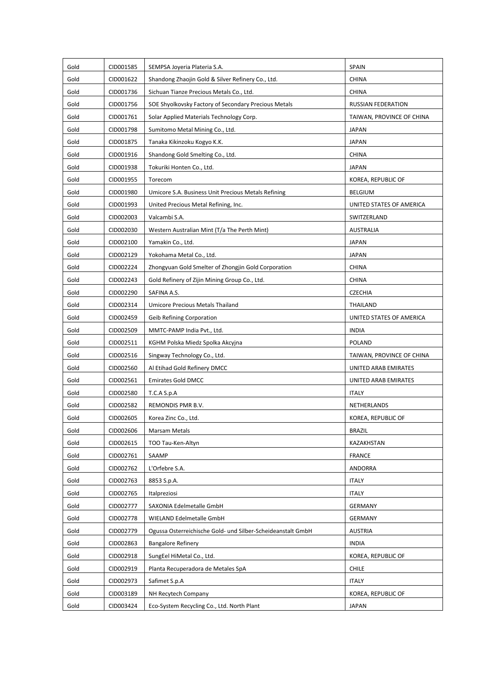| Gold | CID001585 | SEMPSA Joyeria Plateria S.A.                                | <b>SPAIN</b>              |
|------|-----------|-------------------------------------------------------------|---------------------------|
| Gold | CID001622 | Shandong Zhaojin Gold & Silver Refinery Co., Ltd.           | <b>CHINA</b>              |
| Gold | CID001736 | Sichuan Tianze Precious Metals Co., Ltd.                    | <b>CHINA</b>              |
| Gold | CID001756 | SOE Shyolkovsky Factory of Secondary Precious Metals        | RUSSIAN FEDERATION        |
| Gold | CID001761 | Solar Applied Materials Technology Corp.                    | TAIWAN, PROVINCE OF CHINA |
| Gold | CID001798 | Sumitomo Metal Mining Co., Ltd.                             | <b>JAPAN</b>              |
| Gold | CID001875 | Tanaka Kikinzoku Kogyo K.K.                                 | <b>JAPAN</b>              |
| Gold | CID001916 | Shandong Gold Smelting Co., Ltd.                            | <b>CHINA</b>              |
| Gold | CID001938 | Tokuriki Honten Co., Ltd.                                   | <b>JAPAN</b>              |
| Gold | CID001955 | Torecom                                                     | KOREA, REPUBLIC OF        |
| Gold | CID001980 | Umicore S.A. Business Unit Precious Metals Refining         | <b>BELGIUM</b>            |
| Gold | CID001993 | United Precious Metal Refining, Inc.                        | UNITED STATES OF AMERICA  |
| Gold | CID002003 | Valcambi S.A.                                               | SWITZERLAND               |
| Gold | CID002030 | Western Australian Mint (T/a The Perth Mint)                | <b>AUSTRALIA</b>          |
| Gold | CID002100 | Yamakin Co., Ltd.                                           | <b>JAPAN</b>              |
| Gold | CID002129 | Yokohama Metal Co., Ltd.                                    | <b>JAPAN</b>              |
| Gold | CID002224 | Zhongyuan Gold Smelter of Zhongjin Gold Corporation         | <b>CHINA</b>              |
| Gold | CID002243 | Gold Refinery of Zijin Mining Group Co., Ltd.               | <b>CHINA</b>              |
| Gold | CID002290 | SAFINA A.S.                                                 | <b>CZECHIA</b>            |
| Gold | CID002314 | Umicore Precious Metals Thailand                            | THAILAND                  |
| Gold | CID002459 | Geib Refining Corporation                                   | UNITED STATES OF AMERICA  |
| Gold | CID002509 | MMTC-PAMP India Pvt., Ltd.                                  | <b>INDIA</b>              |
| Gold | CID002511 | KGHM Polska Miedz Spolka Akcyjna                            | <b>POLAND</b>             |
| Gold | CID002516 | Singway Technology Co., Ltd.                                | TAIWAN, PROVINCE OF CHINA |
| Gold | CID002560 | Al Etihad Gold Refinery DMCC                                | UNITED ARAB EMIRATES      |
| Gold | CID002561 | <b>Emirates Gold DMCC</b>                                   | UNITED ARAB EMIRATES      |
| Gold | CID002580 | T.C.A S.p.A                                                 | <b>ITALY</b>              |
| Gold | CID002582 | REMONDIS PMR B.V.                                           | NETHERLANDS               |
| Gold | CID002605 | Korea Zinc Co., Ltd.                                        | KOREA, REPUBLIC OF        |
| Gold | CID002606 | <b>Marsam Metals</b>                                        | <b>BRAZIL</b>             |
| Gold | CID002615 | TOO Tau-Ken-Altyn                                           | KAZAKHSTAN                |
| Gold | CID002761 | SAAMP                                                       | <b>FRANCE</b>             |
| Gold | CID002762 | L'Orfebre S.A.                                              | <b>ANDORRA</b>            |
| Gold | CID002763 | 8853 S.p.A.                                                 | <b>ITALY</b>              |
| Gold | CID002765 | Italpreziosi                                                | <b>ITALY</b>              |
| Gold | CID002777 | SAXONIA Edelmetalle GmbH                                    | <b>GERMANY</b>            |
| Gold | CID002778 | WIELAND Edelmetalle GmbH                                    | <b>GERMANY</b>            |
| Gold | CID002779 | Ogussa Osterreichische Gold- und Silber-Scheideanstalt GmbH | <b>AUSTRIA</b>            |
| Gold | CID002863 | <b>Bangalore Refinery</b>                                   | <b>INDIA</b>              |
| Gold | CID002918 | SungEel HiMetal Co., Ltd.                                   | KOREA, REPUBLIC OF        |
| Gold | CID002919 | Planta Recuperadora de Metales SpA                          | <b>CHILE</b>              |
| Gold | CID002973 | Safimet S.p.A                                               | <b>ITALY</b>              |
| Gold | CID003189 | NH Recytech Company                                         | KOREA, REPUBLIC OF        |
| Gold | CID003424 | Eco-System Recycling Co., Ltd. North Plant                  | <b>JAPAN</b>              |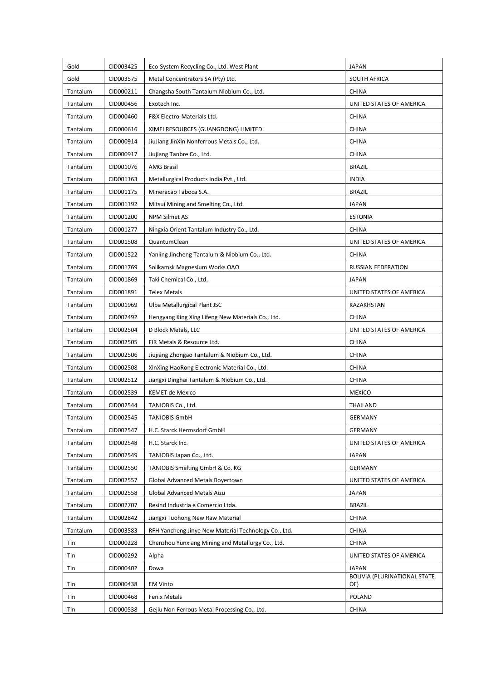| Gold     | CID003425 | Eco-System Recycling Co., Ltd. West Plant            | <b>JAPAN</b>                 |
|----------|-----------|------------------------------------------------------|------------------------------|
| Gold     | CID003575 | Metal Concentrators SA (Pty) Ltd.                    | SOUTH AFRICA                 |
| Tantalum | CID000211 | Changsha South Tantalum Niobium Co., Ltd.            | <b>CHINA</b>                 |
| Tantalum | CID000456 | Exotech Inc.                                         | UNITED STATES OF AMERICA     |
| Tantalum | CID000460 | F&X Electro-Materials Ltd.                           | <b>CHINA</b>                 |
| Tantalum | CID000616 | XIMEI RESOURCES (GUANGDONG) LIMITED                  | <b>CHINA</b>                 |
| Tantalum | CID000914 | JiuJiang JinXin Nonferrous Metals Co., Ltd.          | <b>CHINA</b>                 |
| Tantalum | CID000917 | Jiujiang Tanbre Co., Ltd.                            | <b>CHINA</b>                 |
| Tantalum | CID001076 | <b>AMG Brasil</b>                                    | <b>BRAZIL</b>                |
| Tantalum | CID001163 | Metallurgical Products India Pvt., Ltd.              | <b>INDIA</b>                 |
| Tantalum | CID001175 | Mineracao Taboca S.A.                                | <b>BRAZIL</b>                |
| Tantalum | CID001192 | Mitsui Mining and Smelting Co., Ltd.                 | <b>JAPAN</b>                 |
| Tantalum | CID001200 | <b>NPM Silmet AS</b>                                 | <b>ESTONIA</b>               |
| Tantalum | CID001277 | Ningxia Orient Tantalum Industry Co., Ltd.           | <b>CHINA</b>                 |
| Tantalum | CID001508 | QuantumClean                                         | UNITED STATES OF AMERICA     |
| Tantalum | CID001522 | Yanling Jincheng Tantalum & Niobium Co., Ltd.        | <b>CHINA</b>                 |
| Tantalum | CID001769 | Solikamsk Magnesium Works OAO                        | RUSSIAN FEDERATION           |
| Tantalum | CID001869 | Taki Chemical Co., Ltd.                              | <b>JAPAN</b>                 |
| Tantalum | CID001891 | <b>Telex Metals</b>                                  | UNITED STATES OF AMERICA     |
| Tantalum | CID001969 | Ulba Metallurgical Plant JSC                         | KAZAKHSTAN                   |
| Tantalum | CID002492 | Hengyang King Xing Lifeng New Materials Co., Ltd.    | <b>CHINA</b>                 |
| Tantalum | CID002504 | D Block Metals, LLC                                  | UNITED STATES OF AMERICA     |
| Tantalum | CID002505 | FIR Metals & Resource Ltd.                           | <b>CHINA</b>                 |
| Tantalum | CID002506 | Jiujiang Zhongao Tantalum & Niobium Co., Ltd.        | <b>CHINA</b>                 |
| Tantalum | CID002508 | XinXing HaoRong Electronic Material Co., Ltd.        | <b>CHINA</b>                 |
| Tantalum | CID002512 | Jiangxi Dinghai Tantalum & Niobium Co., Ltd.         | <b>CHINA</b>                 |
| Tantalum | CID002539 | KEMET de Mexico                                      | <b>MEXICO</b>                |
| Tantalum | CID002544 | TANIOBIS Co., Ltd.                                   | THAILAND                     |
| Tantalum | CID002545 | <b>TANIOBIS GmbH</b>                                 | <b>GERMANY</b>               |
| Tantalum | CID002547 | H.C. Starck Hermsdorf GmbH                           | <b>GERMANY</b>               |
| Tantalum | CID002548 | H.C. Starck Inc.                                     | UNITED STATES OF AMERICA     |
| Tantalum | CID002549 | TANIOBIS Japan Co., Ltd.                             | JAPAN                        |
| Tantalum | CID002550 | TANIOBIS Smelting GmbH & Co. KG                      | <b>GERMANY</b>               |
| Tantalum | CID002557 | Global Advanced Metals Boyertown                     | UNITED STATES OF AMERICA     |
| Tantalum | CID002558 | Global Advanced Metals Aizu                          | <b>JAPAN</b>                 |
| Tantalum | CID002707 | Resind Industria e Comercio Ltda.                    | <b>BRAZIL</b>                |
| Tantalum | CID002842 | Jiangxi Tuohong New Raw Material                     | <b>CHINA</b>                 |
| Tantalum | CID003583 | RFH Yancheng Jinye New Material Technology Co., Ltd. | <b>CHINA</b>                 |
| Tin      | CID000228 | Chenzhou Yunxiang Mining and Metallurgy Co., Ltd.    | <b>CHINA</b>                 |
| Tin      | CID000292 | Alpha                                                | UNITED STATES OF AMERICA     |
| Tin      | CID000402 | Dowa                                                 | JAPAN                        |
|          |           |                                                      | BOLIVIA (PLURINATIONAL STATE |
| Tin      | CID000438 | <b>EM Vinto</b>                                      | OF)                          |
| Tin      | CID000468 | Fenix Metals                                         | POLAND                       |
| Tin      | CID000538 | Gejiu Non-Ferrous Metal Processing Co., Ltd.         | CHINA                        |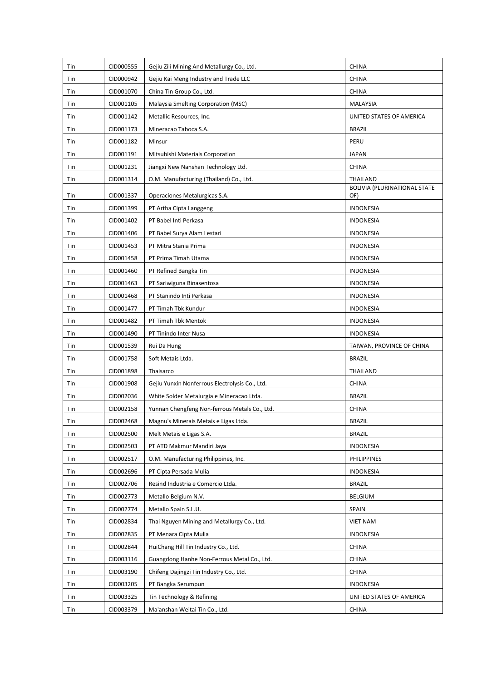| Tin        | CID000555              | Gejiu Zili Mining And Metallurgy Co., Ltd.                                                  | CHINA                               |
|------------|------------------------|---------------------------------------------------------------------------------------------|-------------------------------------|
| Tin        | CID000942              | Gejiu Kai Meng Industry and Trade LLC                                                       | <b>CHINA</b>                        |
| Tin        | CID001070              | China Tin Group Co., Ltd.                                                                   | <b>CHINA</b>                        |
| Tin        | CID001105              | Malaysia Smelting Corporation (MSC)                                                         | MALAYSIA                            |
| Tin        | CID001142              | Metallic Resources, Inc.                                                                    | UNITED STATES OF AMERICA            |
| Tin        | CID001173              | Mineracao Taboca S.A.                                                                       | <b>BRAZIL</b>                       |
| Tin        | CID001182              | Minsur                                                                                      | PERU                                |
| Tin        | CID001191              | Mitsubishi Materials Corporation                                                            | JAPAN                               |
| Tin        | CID001231              | Jiangxi New Nanshan Technology Ltd.                                                         | <b>CHINA</b>                        |
| Tin        | CID001314              | O.M. Manufacturing (Thailand) Co., Ltd.                                                     | <b>THAILAND</b>                     |
| Tin        | CID001337              | Operaciones Metalurgicas S.A.                                                               | BOLIVIA (PLURINATIONAL STATE<br>OF) |
| Tin        | CID001399              | PT Artha Cipta Langgeng                                                                     | <b>INDONESIA</b>                    |
| Tin        | CID001402              | PT Babel Inti Perkasa                                                                       | <b>INDONESIA</b>                    |
| Tin        | CID001406              | PT Babel Surya Alam Lestari                                                                 | <b>INDONESIA</b>                    |
| Tin        | CID001453              | PT Mitra Stania Prima                                                                       | <b>INDONESIA</b>                    |
| Tin        | CID001458              | PT Prima Timah Utama                                                                        | <b>INDONESIA</b>                    |
| Tin        | CID001460              | PT Refined Bangka Tin                                                                       | <b>INDONESIA</b>                    |
| Tin        | CID001463              | PT Sariwiguna Binasentosa                                                                   | <b>INDONESIA</b>                    |
| Tin        | CID001468              | PT Stanindo Inti Perkasa                                                                    | <b>INDONESIA</b>                    |
| Tin        | CID001477              | PT Timah Tbk Kundur                                                                         | <b>INDONESIA</b>                    |
| Tin        | CID001482              | PT Timah Tbk Mentok                                                                         | <b>INDONESIA</b>                    |
|            | CID001490              | PT Tinindo Inter Nusa                                                                       | <b>INDONESIA</b>                    |
| Tin<br>Tin | CID001539              |                                                                                             | TAIWAN, PROVINCE OF CHINA           |
| Tin        | CID001758              | Rui Da Hung<br>Soft Metais Ltda.                                                            | <b>BRAZIL</b>                       |
|            |                        |                                                                                             |                                     |
| Tin        | CID001898              | Thaisarco                                                                                   | THAILAND                            |
| Tin<br>Tin | CID001908<br>CID002036 | Gejiu Yunxin Nonferrous Electrolysis Co., Ltd.<br>White Solder Metalurgia e Mineracao Ltda. | <b>CHINA</b><br><b>BRAZIL</b>       |
|            |                        | Yunnan Chengfeng Non-ferrous Metals Co., Ltd.                                               |                                     |
| Tin        | CID002158<br>CID002468 |                                                                                             | <b>CHINA</b>                        |
| Tin<br>Tin | CID002500              | Magnu's Minerais Metais e Ligas Ltda.<br>Melt Metais e Ligas S.A.                           | <b>BRAZIL</b><br><b>BRAZIL</b>      |
|            | CID002503              | PT ATD Makmur Mandiri Jaya                                                                  | INDONESIA                           |
| Tin<br>Tin | CID002517              | O.M. Manufacturing Philippines, Inc.                                                        | <b>PHILIPPINES</b>                  |
| Tin        | CID002696              | PT Cipta Persada Mulia                                                                      | <b>INDONESIA</b>                    |
|            |                        |                                                                                             |                                     |
| Tin        | CID002706              | Resind Industria e Comercio Ltda.                                                           | <b>BRAZIL</b>                       |
| Tin        | CID002773              | Metallo Belgium N.V.<br>Metallo Spain S.L.U.                                                | <b>BELGIUM</b>                      |
| Tin        | CID002774              |                                                                                             | <b>SPAIN</b>                        |
| Tin        | CID002834              | Thai Nguyen Mining and Metallurgy Co., Ltd.                                                 | <b>VIET NAM</b>                     |
| Tin        | CID002835              | PT Menara Cipta Mulia                                                                       | INDONESIA                           |
| Tin        | CID002844              | HuiChang Hill Tin Industry Co., Ltd.                                                        | <b>CHINA</b>                        |
| Tin        | CID003116              | Guangdong Hanhe Non-Ferrous Metal Co., Ltd.                                                 | <b>CHINA</b>                        |
| Tin        | CID003190              | Chifeng Dajingzi Tin Industry Co., Ltd.                                                     | <b>CHINA</b>                        |
| Tin        | CID003205              | PT Bangka Serumpun                                                                          | <b>INDONESIA</b>                    |
| Tin        | CID003325              | Tin Technology & Refining                                                                   | UNITED STATES OF AMERICA            |
| Tin        | CID003379              | Ma'anshan Weitai Tin Co., Ltd.                                                              | <b>CHINA</b>                        |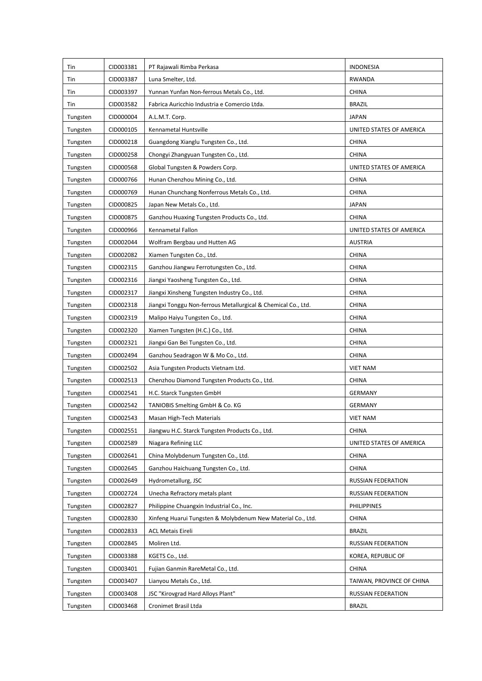| Tin      | CID003381 | PT Rajawali Rimba Perkasa                                     | <b>INDONESIA</b>          |
|----------|-----------|---------------------------------------------------------------|---------------------------|
| Tin      | CID003387 | Luna Smelter, Ltd.                                            | RWANDA                    |
| Tin      | CID003397 | Yunnan Yunfan Non-ferrous Metals Co., Ltd.                    | <b>CHINA</b>              |
| Tin      | CID003582 | Fabrica Auricchio Industria e Comercio Ltda.                  | <b>BRAZIL</b>             |
| Tungsten | CID000004 | A.L.M.T. Corp.                                                | <b>JAPAN</b>              |
| Tungsten | CID000105 | Kennametal Huntsville                                         | UNITED STATES OF AMERICA  |
| Tungsten | CID000218 | Guangdong Xianglu Tungsten Co., Ltd.                          | <b>CHINA</b>              |
| Tungsten | CID000258 | Chongyi Zhangyuan Tungsten Co., Ltd.                          | <b>CHINA</b>              |
| Tungsten | CID000568 | Global Tungsten & Powders Corp.                               | UNITED STATES OF AMERICA  |
| Tungsten | CID000766 | Hunan Chenzhou Mining Co., Ltd.                               | <b>CHINA</b>              |
| Tungsten | CID000769 | Hunan Chunchang Nonferrous Metals Co., Ltd.                   | <b>CHINA</b>              |
| Tungsten | CID000825 | Japan New Metals Co., Ltd.                                    | JAPAN                     |
| Tungsten | CID000875 | Ganzhou Huaxing Tungsten Products Co., Ltd.                   | <b>CHINA</b>              |
| Tungsten | CID000966 | Kennametal Fallon                                             | UNITED STATES OF AMERICA  |
| Tungsten | CID002044 | Wolfram Bergbau und Hutten AG                                 | <b>AUSTRIA</b>            |
| Tungsten | CID002082 | Xiamen Tungsten Co., Ltd.                                     | <b>CHINA</b>              |
| Tungsten | CID002315 | Ganzhou Jiangwu Ferrotungsten Co., Ltd.                       | <b>CHINA</b>              |
| Tungsten | CID002316 | Jiangxi Yaosheng Tungsten Co., Ltd.                           | <b>CHINA</b>              |
| Tungsten | CID002317 | Jiangxi Xinsheng Tungsten Industry Co., Ltd.                  | <b>CHINA</b>              |
| Tungsten | CID002318 | Jiangxi Tonggu Non-ferrous Metallurgical & Chemical Co., Ltd. | <b>CHINA</b>              |
| Tungsten | CID002319 | Malipo Haiyu Tungsten Co., Ltd.                               | <b>CHINA</b>              |
| Tungsten | CID002320 | Xiamen Tungsten (H.C.) Co., Ltd.                              | <b>CHINA</b>              |
| Tungsten | CID002321 | Jiangxi Gan Bei Tungsten Co., Ltd.                            | <b>CHINA</b>              |
| Tungsten | CID002494 | Ganzhou Seadragon W & Mo Co., Ltd.                            | <b>CHINA</b>              |
| Tungsten | CID002502 | Asia Tungsten Products Vietnam Ltd.                           | <b>VIET NAM</b>           |
| Tungsten | CID002513 | Chenzhou Diamond Tungsten Products Co., Ltd.                  | <b>CHINA</b>              |
| Tungsten | CID002541 | H.C. Starck Tungsten GmbH                                     | <b>GERMANY</b>            |
| Tungsten | CID002542 | TANIOBIS Smelting GmbH & Co. KG                               | <b>GERMANY</b>            |
| Tungsten | CID002543 | Masan High-Tech Materials                                     | <b>VIET NAM</b>           |
| Tungsten | CID002551 | Jiangwu H.C. Starck Tungsten Products Co., Ltd.               | <b>CHINA</b>              |
| Tungsten | CID002589 | Niagara Refining LLC                                          | UNITED STATES OF AMERICA  |
| Tungsten | CID002641 | China Molybdenum Tungsten Co., Ltd.                           | <b>CHINA</b>              |
| Tungsten | CID002645 | Ganzhou Haichuang Tungsten Co., Ltd.                          | <b>CHINA</b>              |
| Tungsten | CID002649 | Hydrometallurg, JSC                                           | RUSSIAN FEDERATION        |
| Tungsten | CID002724 | Unecha Refractory metals plant                                | RUSSIAN FEDERATION        |
| Tungsten | CID002827 | Philippine Chuangxin Industrial Co., Inc.                     | PHILIPPINES               |
| Tungsten | CID002830 | Xinfeng Huarui Tungsten & Molybdenum New Material Co., Ltd.   | <b>CHINA</b>              |
| Tungsten | CID002833 | <b>ACL Metais Eireli</b>                                      | BRAZIL                    |
| Tungsten | CID002845 | Moliren Ltd.                                                  | RUSSIAN FEDERATION        |
| Tungsten | CID003388 | KGETS Co., Ltd.                                               | KOREA, REPUBLIC OF        |
| Tungsten | CID003401 | Fujian Ganmin RareMetal Co., Ltd.                             | CHINA                     |
| Tungsten | CID003407 | Lianyou Metals Co., Ltd.                                      | TAIWAN, PROVINCE OF CHINA |
| Tungsten | CID003408 | JSC "Kirovgrad Hard Alloys Plant"                             | RUSSIAN FEDERATION        |
| Tungsten | CID003468 | Cronimet Brasil Ltda                                          | <b>BRAZIL</b>             |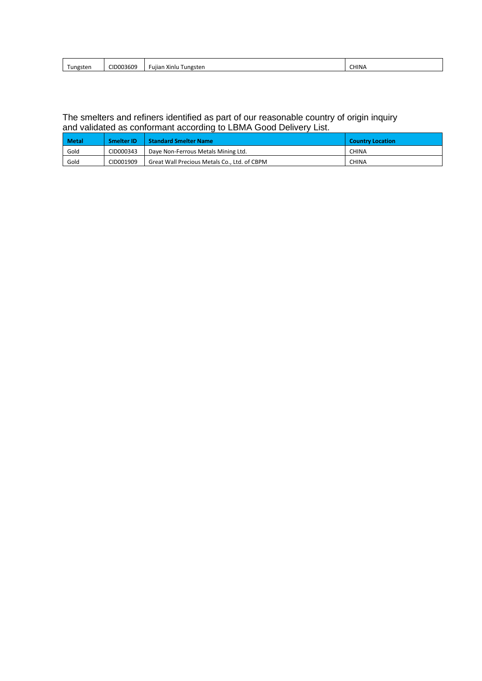| D003609<br>$ -$<br>.<br>™ngsten ⊺<br>Tungsten<br>ı Xinlu<br>Fujiar | <b>CHINA</b> |
|--------------------------------------------------------------------|--------------|
|                                                                    |              |

#### The smelters and refiners identified as part of our reasonable country of origin inquiry and validated as conformant according to LBMA Good Delivery List.

| <b>Metal</b> | <b>Smelter ID</b> | <b>Standard Smelter Name</b>                 | <b>Country Location</b> |
|--------------|-------------------|----------------------------------------------|-------------------------|
| Gold         | CID000343         | Daye Non-Ferrous Metals Mining Ltd.          | <b>CHINA</b>            |
| Gold         | CID001909         | Great Wall Precious Metals Co., Ltd. of CBPM | <b>CHINA</b>            |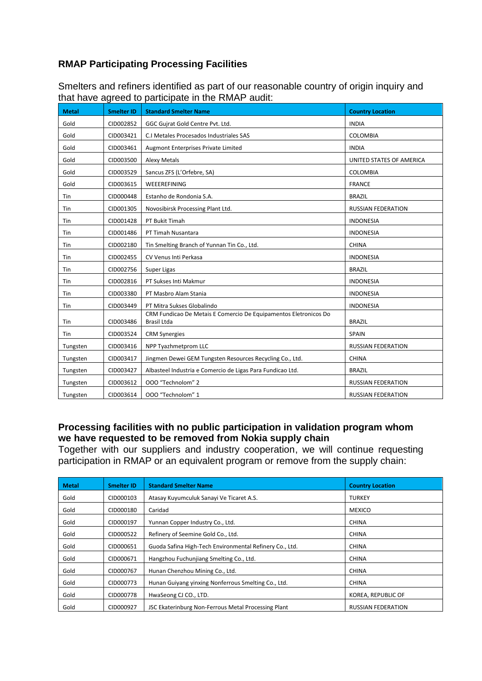# **RMAP Participating Processing Facilities**

| <b>Metal</b> | <b>Smelter ID</b> | <b>Standard Smelter Name</b>                                                           | <b>Country Location</b>   |
|--------------|-------------------|----------------------------------------------------------------------------------------|---------------------------|
| Gold         | CID002852         | GGC Gujrat Gold Centre Pvt. Ltd.                                                       | <b>INDIA</b>              |
| Gold         | CID003421         | C.I Metales Procesados Industriales SAS                                                | COLOMBIA                  |
| Gold         | CID003461         | Augmont Enterprises Private Limited                                                    | <b>INDIA</b>              |
| Gold         | CID003500         | <b>Alexy Metals</b>                                                                    | UNITED STATES OF AMERICA  |
| Gold         | CID003529         | Sancus ZFS (L'Orfebre, SA)                                                             | <b>COLOMBIA</b>           |
| Gold         | CID003615         | WEEEREFINING                                                                           | <b>FRANCE</b>             |
| Tin          | CID000448         | Estanho de Rondonia S.A.                                                               | <b>BRAZIL</b>             |
| Tin          | CID001305         | Novosibirsk Processing Plant Ltd.                                                      | <b>RUSSIAN FEDERATION</b> |
| Tin          | CID001428         | PT Bukit Timah                                                                         | <b>INDONESIA</b>          |
| Tin          | CID001486         | PT Timah Nusantara                                                                     | <b>INDONESIA</b>          |
| Tin          | CID002180         | Tin Smelting Branch of Yunnan Tin Co., Ltd.                                            | <b>CHINA</b>              |
| Tin          | CID002455         | CV Venus Inti Perkasa                                                                  | <b>INDONESIA</b>          |
| Tin          | CID002756         | Super Ligas                                                                            | <b>BRAZIL</b>             |
| Tin          | CID002816         | PT Sukses Inti Makmur                                                                  | <b>INDONESIA</b>          |
| Tin          | CID003380         | PT Masbro Alam Stania                                                                  | <b>INDONESIA</b>          |
| Tin          | CID003449         | PT Mitra Sukses Globalindo                                                             | <b>INDONESIA</b>          |
| Tin          | CID003486         | CRM Fundicao De Metais E Comercio De Equipamentos Eletronicos Do<br><b>Brasil Ltda</b> | <b>BRAZIL</b>             |
| Tin          | CID003524         | <b>CRM Synergies</b>                                                                   | <b>SPAIN</b>              |
| Tungsten     | CID003416         | NPP Tyazhmetprom LLC                                                                   | <b>RUSSIAN FEDERATION</b> |
| Tungsten     | CID003417         | Jingmen Dewei GEM Tungsten Resources Recycling Co., Ltd.                               | <b>CHINA</b>              |
| Tungsten     | CID003427         | Albasteel Industria e Comercio de Ligas Para Fundicao Ltd.                             | <b>BRAZIL</b>             |
| Tungsten     | CID003612         | 000 "Technolom" 2                                                                      | <b>RUSSIAN FEDERATION</b> |
| Tungsten     | CID003614         | 000 "Technolom" 1                                                                      | <b>RUSSIAN FEDERATION</b> |

Smelters and refiners identified as part of our reasonable country of origin inquiry and that have agreed to participate in the RMAP audit:

# **Processing facilities with no public participation in validation program whom we have requested to be removed from Nokia supply chain**

Together with our suppliers and industry cooperation, we will continue requesting participation in RMAP or an equivalent program or remove from the supply chain:

| <b>Metal</b> | <b>Smelter ID</b> | <b>Standard Smelter Name</b>                            | <b>Country Location</b>   |
|--------------|-------------------|---------------------------------------------------------|---------------------------|
| Gold         | CID000103         | Atasay Kuyumculuk Sanayi Ve Ticaret A.S.                | <b>TURKEY</b>             |
| Gold         | CID000180         | Caridad                                                 | <b>MEXICO</b>             |
| Gold         | CID000197         | Yunnan Copper Industry Co., Ltd.                        | <b>CHINA</b>              |
| Gold         | CID000522         | Refinery of Seemine Gold Co., Ltd.                      | <b>CHINA</b>              |
| Gold         | CID000651         | Guoda Safina High-Tech Environmental Refinery Co., Ltd. | <b>CHINA</b>              |
| Gold         | CID000671         | Hangzhou Fuchunjiang Smelting Co., Ltd.                 | <b>CHINA</b>              |
| Gold         | CID000767         | Hunan Chenzhou Mining Co., Ltd.                         | <b>CHINA</b>              |
| Gold         | CID000773         | Hunan Guiyang yinxing Nonferrous Smelting Co., Ltd.     | <b>CHINA</b>              |
| Gold         | CID000778         | HwaSeong CJ CO., LTD.                                   | KOREA, REPUBLIC OF        |
| Gold         | CID000927         | JSC Ekaterinburg Non-Ferrous Metal Processing Plant     | <b>RUSSIAN FEDERATION</b> |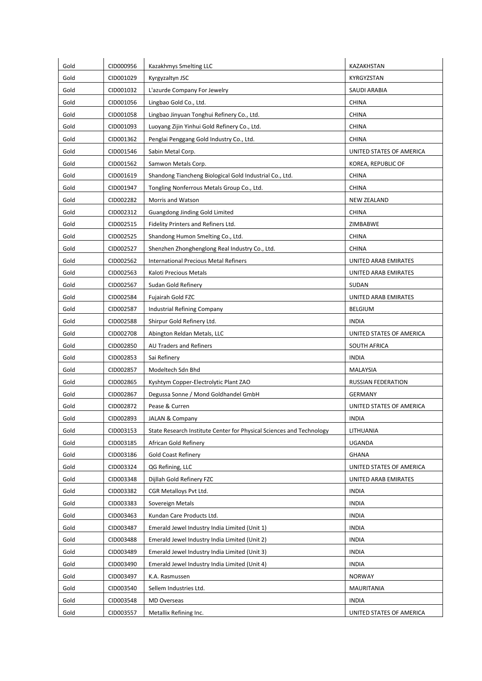| Gold | CID000956 | Kazakhmys Smelting LLC                                               | KAZAKHSTAN               |
|------|-----------|----------------------------------------------------------------------|--------------------------|
| Gold | CID001029 | Kyrgyzaltyn JSC                                                      | KYRGYZSTAN               |
| Gold | CID001032 | L'azurde Company For Jewelry                                         | SAUDI ARABIA             |
| Gold | CID001056 | Lingbao Gold Co., Ltd.                                               | <b>CHINA</b>             |
| Gold | CID001058 | Lingbao Jinyuan Tonghui Refinery Co., Ltd.                           | <b>CHINA</b>             |
| Gold | CID001093 | Luoyang Zijin Yinhui Gold Refinery Co., Ltd.                         | <b>CHINA</b>             |
| Gold | CID001362 | Penglai Penggang Gold Industry Co., Ltd.                             | <b>CHINA</b>             |
| Gold | CID001546 | Sabin Metal Corp.                                                    | UNITED STATES OF AMERICA |
| Gold | CID001562 | Samwon Metals Corp.                                                  | KOREA, REPUBLIC OF       |
| Gold | CID001619 | Shandong Tiancheng Biological Gold Industrial Co., Ltd.              | <b>CHINA</b>             |
| Gold | CID001947 | Tongling Nonferrous Metals Group Co., Ltd.                           | <b>CHINA</b>             |
| Gold | CID002282 | Morris and Watson                                                    | <b>NEW ZEALAND</b>       |
| Gold | CID002312 | Guangdong Jinding Gold Limited                                       | <b>CHINA</b>             |
| Gold | CID002515 | Fidelity Printers and Refiners Ltd.                                  | ZIMBABWE                 |
| Gold | CID002525 | Shandong Humon Smelting Co., Ltd.                                    | <b>CHINA</b>             |
| Gold | CID002527 | Shenzhen Zhonghenglong Real Industry Co., Ltd.                       | <b>CHINA</b>             |
| Gold | CID002562 | <b>International Precious Metal Refiners</b>                         | UNITED ARAB EMIRATES     |
| Gold | CID002563 | Kaloti Precious Metals                                               | UNITED ARAB EMIRATES     |
| Gold | CID002567 | Sudan Gold Refinery                                                  | SUDAN                    |
| Gold | CID002584 | Fujairah Gold FZC                                                    | UNITED ARAB EMIRATES     |
| Gold | CID002587 | Industrial Refining Company                                          | <b>BELGIUM</b>           |
| Gold | CID002588 | Shirpur Gold Refinery Ltd.                                           | <b>INDIA</b>             |
| Gold | CID002708 | Abington Reldan Metals, LLC                                          | UNITED STATES OF AMERICA |
| Gold | CID002850 | AU Traders and Refiners                                              | SOUTH AFRICA             |
| Gold | CID002853 | Sai Refinery                                                         | <b>INDIA</b>             |
| Gold | CID002857 | Modeltech Sdn Bhd                                                    | MALAYSIA                 |
| Gold | CID002865 | Kyshtym Copper-Electrolytic Plant ZAO                                | RUSSIAN FEDERATION       |
| Gold | CID002867 | Degussa Sonne / Mond Goldhandel GmbH                                 | <b>GERMANY</b>           |
| Gold | CID002872 | Pease & Curren                                                       | UNITED STATES OF AMERICA |
| Gold | CID002893 | <b>JALAN &amp; Company</b>                                           | <b>INDIA</b>             |
| Gold | CID003153 | State Research Institute Center for Physical Sciences and Technology | LITHUANIA                |
| Gold | CID003185 | African Gold Refinery                                                | UGANDA                   |
| Gold | CID003186 | <b>Gold Coast Refinery</b>                                           | <b>GHANA</b>             |
| Gold | CID003324 | QG Refining, LLC                                                     | UNITED STATES OF AMERICA |
| Gold | CID003348 | Dijllah Gold Refinery FZC                                            | UNITED ARAB EMIRATES     |
| Gold | CID003382 | CGR Metalloys Pvt Ltd.                                               | <b>INDIA</b>             |
| Gold | CID003383 | Sovereign Metals                                                     | <b>INDIA</b>             |
| Gold | CID003463 | Kundan Care Products Ltd.                                            | <b>INDIA</b>             |
| Gold | CID003487 | Emerald Jewel Industry India Limited (Unit 1)                        | <b>INDIA</b>             |
| Gold | CID003488 | Emerald Jewel Industry India Limited (Unit 2)                        | <b>INDIA</b>             |
| Gold | CID003489 | Emerald Jewel Industry India Limited (Unit 3)                        | <b>INDIA</b>             |
| Gold | CID003490 | Emerald Jewel Industry India Limited (Unit 4)                        | <b>INDIA</b>             |
| Gold | CID003497 | K.A. Rasmussen                                                       | <b>NORWAY</b>            |
| Gold | CID003540 | Sellem Industries Ltd.                                               | MAURITANIA               |
| Gold | CID003548 | MD Overseas                                                          | <b>INDIA</b>             |
| Gold | CID003557 | Metallix Refining Inc.                                               | UNITED STATES OF AMERICA |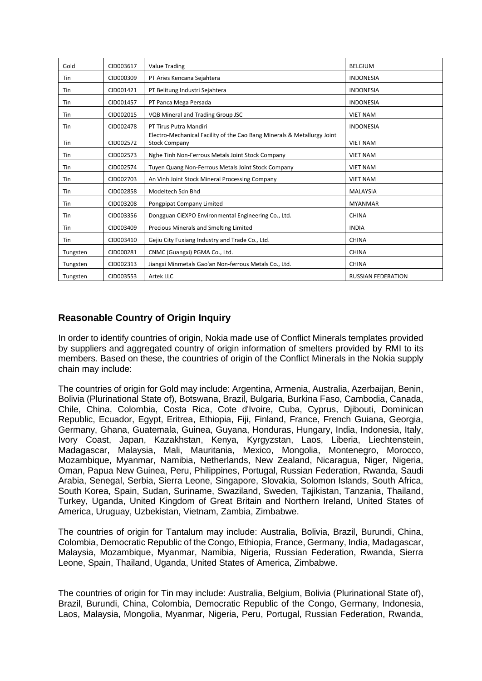| Gold       | CID003617 | <b>Value Trading</b>                                                                            | <b>BELGIUM</b>            |
|------------|-----------|-------------------------------------------------------------------------------------------------|---------------------------|
| Tin        | CID000309 | PT Aries Kencana Sejahtera                                                                      | <b>INDONESIA</b>          |
| Tin        | CID001421 | PT Belitung Industri Sejahtera                                                                  | <b>INDONESIA</b>          |
| Tin        | CID001457 | PT Panca Mega Persada                                                                           | <b>INDONESIA</b>          |
| Tin        | CID002015 | VQB Mineral and Trading Group JSC                                                               | <b>VIET NAM</b>           |
| Tin        | CID002478 | PT Tirus Putra Mandiri                                                                          | <b>INDONESIA</b>          |
| Tin        | CID002572 | Electro-Mechanical Facility of the Cao Bang Minerals & Metallurgy Joint<br><b>Stock Company</b> | <b>VIET NAM</b>           |
| Tin        | CID002573 | Nghe Tinh Non-Ferrous Metals Joint Stock Company                                                | <b>VIET NAM</b>           |
| Tin        | CID002574 | Tuyen Quang Non-Ferrous Metals Joint Stock Company                                              | <b>VIET NAM</b>           |
| Tin        | CID002703 | An Vinh Joint Stock Mineral Processing Company                                                  | <b>VIET NAM</b>           |
| Tin        | CID002858 | Modeltech Sdn Bhd                                                                               | <b>MALAYSIA</b>           |
| Tin        | CID003208 | Pongpipat Company Limited                                                                       | <b>MYANMAR</b>            |
| Tin        | CID003356 | Dongguan CiEXPO Environmental Engineering Co., Ltd.                                             | <b>CHINA</b>              |
| Tin        | CID003409 | Precious Minerals and Smelting Limited                                                          | <b>INDIA</b>              |
| <b>Tin</b> | CID003410 | Gejiu City Fuxiang Industry and Trade Co., Ltd.                                                 | <b>CHINA</b>              |
| Tungsten   | CID000281 | CNMC (Guangxi) PGMA Co., Ltd.                                                                   | <b>CHINA</b>              |
| Tungsten   | CID002313 | Jiangxi Minmetals Gao'an Non-ferrous Metals Co., Ltd.                                           | <b>CHINA</b>              |
| Tungsten   | CID003553 | Artek LLC                                                                                       | <b>RUSSIAN FEDERATION</b> |

# **Reasonable Country of Origin Inquiry**

In order to identify countries of origin, Nokia made use of Conflict Minerals templates provided by suppliers and aggregated country of origin information of smelters provided by RMI to its members. Based on these, the countries of origin of the Conflict Minerals in the Nokia supply chain may include:

The countries of origin for Gold may include: Argentina, Armenia, Australia, Azerbaijan, Benin, Bolivia (Plurinational State of), Botswana, Brazil, Bulgaria, Burkina Faso, Cambodia, Canada, Chile, China, Colombia, Costa Rica, Cote d'Ivoire, Cuba, Cyprus, Djibouti, Dominican Republic, Ecuador, Egypt, Eritrea, Ethiopia, Fiji, Finland, France, French Guiana, Georgia, Germany, Ghana, Guatemala, Guinea, Guyana, Honduras, Hungary, India, Indonesia, Italy, Ivory Coast, Japan, Kazakhstan, Kenya, Kyrgyzstan, Laos, Liberia, Liechtenstein, Madagascar, Malaysia, Mali, Mauritania, Mexico, Mongolia, Montenegro, Morocco, Mozambique, Myanmar, Namibia, Netherlands, New Zealand, Nicaragua, Niger, Nigeria, Oman, Papua New Guinea, Peru, Philippines, Portugal, Russian Federation, Rwanda, Saudi Arabia, Senegal, Serbia, Sierra Leone, Singapore, Slovakia, Solomon Islands, South Africa, South Korea, Spain, Sudan, Suriname, Swaziland, Sweden, Tajikistan, Tanzania, Thailand, Turkey, Uganda, United Kingdom of Great Britain and Northern Ireland, United States of America, Uruguay, Uzbekistan, Vietnam, Zambia, Zimbabwe.

The countries of origin for Tantalum may include: Australia, Bolivia, Brazil, Burundi, China, Colombia, Democratic Republic of the Congo, Ethiopia, France, Germany, India, Madagascar, Malaysia, Mozambique, Myanmar, Namibia, Nigeria, Russian Federation, Rwanda, Sierra Leone, Spain, Thailand, Uganda, United States of America, Zimbabwe.

The countries of origin for Tin may include: Australia, Belgium, Bolivia (Plurinational State of), Brazil, Burundi, China, Colombia, Democratic Republic of the Congo, Germany, Indonesia, Laos, Malaysia, Mongolia, Myanmar, Nigeria, Peru, Portugal, Russian Federation, Rwanda,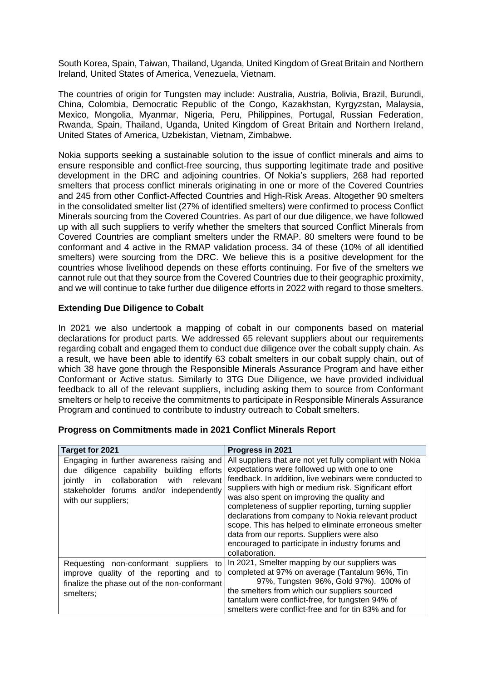South Korea, Spain, Taiwan, Thailand, Uganda, United Kingdom of Great Britain and Northern Ireland, United States of America, Venezuela, Vietnam.

The countries of origin for Tungsten may include: Australia, Austria, Bolivia, Brazil, Burundi, China, Colombia, Democratic Republic of the Congo, Kazakhstan, Kyrgyzstan, Malaysia, Mexico, Mongolia, Myanmar, Nigeria, Peru, Philippines, Portugal, Russian Federation, Rwanda, Spain, Thailand, Uganda, United Kingdom of Great Britain and Northern Ireland, United States of America, Uzbekistan, Vietnam, Zimbabwe.

Nokia supports seeking a sustainable solution to the issue of conflict minerals and aims to ensure responsible and conflict-free sourcing, thus supporting legitimate trade and positive development in the DRC and adjoining countries. Of Nokia's suppliers, 268 had reported smelters that process conflict minerals originating in one or more of the Covered Countries and 245 from other Conflict-Affected Countries and High-Risk Areas. Altogether 90 smelters in the consolidated smelter list (27% of identified smelters) were confirmed to process Conflict Minerals sourcing from the Covered Countries. As part of our due diligence, we have followed up with all such suppliers to verify whether the smelters that sourced Conflict Minerals from Covered Countries are compliant smelters under the RMAP. 80 smelters were found to be conformant and 4 active in the RMAP validation process. 34 of these (10% of all identified smelters) were sourcing from the DRC. We believe this is a positive development for the countries whose livelihood depends on these efforts continuing. For five of the smelters we cannot rule out that they source from the Covered Countries due to their geographic proximity, and we will continue to take further due diligence efforts in 2022 with regard to those smelters.

### **Extending Due Diligence to Cobalt**

In 2021 we also undertook a mapping of cobalt in our components based on material declarations for product parts. We addressed 65 relevant suppliers about our requirements regarding cobalt and engaged them to conduct due diligence over the cobalt supply chain. As a result, we have been able to identify 63 cobalt smelters in our cobalt supply chain, out of which 38 have gone through the Responsible Minerals Assurance Program and have either Conformant or Active status. Similarly to 3TG Due Diligence, we have provided individual feedback to all of the relevant suppliers, including asking them to source from Conformant smelters or help to receive the commitments to participate in Responsible Minerals Assurance Program and continued to contribute to industry outreach to Cobalt smelters.

| Target for 2021                                                                                                                                                                                                       | Progress in 2021                                                                                                                                                                                                                                                                                                                                                                                                                                                                                                                                                          |
|-----------------------------------------------------------------------------------------------------------------------------------------------------------------------------------------------------------------------|---------------------------------------------------------------------------------------------------------------------------------------------------------------------------------------------------------------------------------------------------------------------------------------------------------------------------------------------------------------------------------------------------------------------------------------------------------------------------------------------------------------------------------------------------------------------------|
| Engaging in further awareness raising and<br>diligence capability<br>building<br>efforts<br>due<br>collaboration with<br>relevant<br>jointly<br>in.<br>stakeholder forums and/or independently<br>with our suppliers; | All suppliers that are not yet fully compliant with Nokia<br>expectations were followed up with one to one<br>feedback. In addition, live webinars were conducted to<br>suppliers with high or medium risk. Significant effort<br>was also spent on improving the quality and<br>completeness of supplier reporting, turning supplier<br>declarations from company to Nokia relevant product<br>scope. This has helped to eliminate erroneous smelter<br>data from our reports. Suppliers were also<br>encouraged to participate in industry forums and<br>collaboration. |
| Requesting non-conformant suppliers<br>to<br>improve quality of the reporting and to<br>finalize the phase out of the non-conformant<br>smelters;                                                                     | In 2021, Smelter mapping by our suppliers was<br>completed at 97% on average (Tantalum 96%, Tin<br>97%, Tungsten 96%, Gold 97%). 100% of<br>the smelters from which our suppliers sourced<br>tantalum were conflict-free, for tungsten 94% of<br>smelters were conflict-free and for tin 83% and for                                                                                                                                                                                                                                                                      |

#### **Progress on Commitments made in 2021 Conflict Minerals Report**